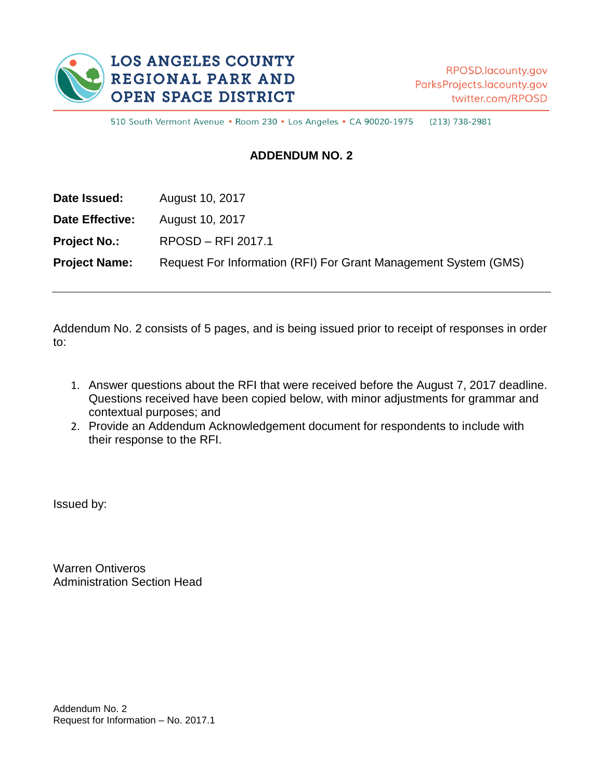

510 South Vermont Avenue · Room 230 · Los Angeles · CA 90020-1975 (213) 738-2981

## **ADDENDUM NO. 2**

| Date Issued:           | August 10, 2017                                                 |
|------------------------|-----------------------------------------------------------------|
| <b>Date Effective:</b> | August 10, 2017                                                 |
| <b>Project No.:</b>    | RPOSD - RFI 2017.1                                              |
| <b>Project Name:</b>   | Request For Information (RFI) For Grant Management System (GMS) |

Addendum No. 2 consists of 5 pages, and is being issued prior to receipt of responses in order to:

- 1. Answer questions about the RFI that were received before the August 7, 2017 deadline. Questions received have been copied below, with minor adjustments for grammar and contextual purposes; and
- 2. Provide an Addendum Acknowledgement document for respondents to include with their response to the RFI.

Issued by:

Warren Ontiveros Administration Section Head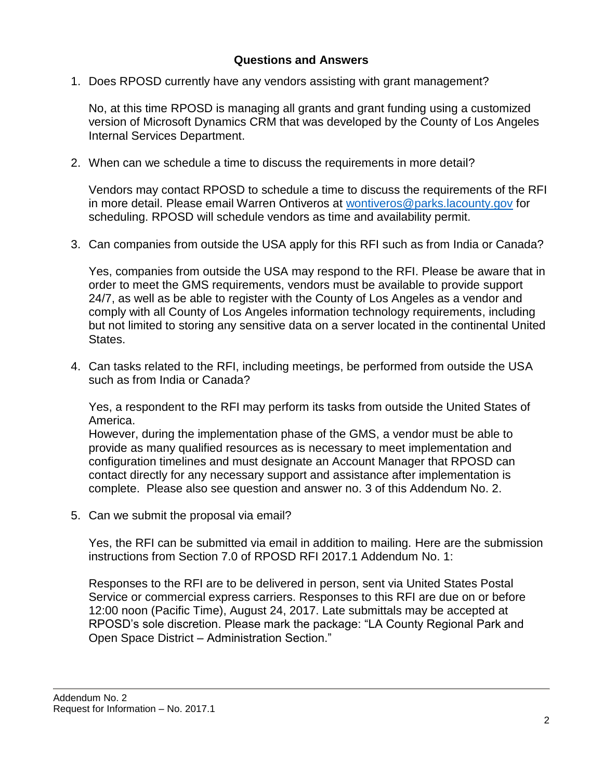## **Questions and Answers**

1. Does RPOSD currently have any vendors assisting with grant management?

No, at this time RPOSD is managing all grants and grant funding using a customized version of Microsoft Dynamics CRM that was developed by the County of Los Angeles Internal Services Department.

2. When can we schedule a time to discuss the requirements in more detail?

Vendors may contact RPOSD to schedule a time to discuss the requirements of the RFI in more detail. Please email Warren Ontiveros at [wontiveros@parks.lacounty.gov](mailto:wontiveros@parks.lacounty.gov) for scheduling. RPOSD will schedule vendors as time and availability permit.

3. Can companies from outside the USA apply for this RFI such as from India or Canada?

Yes, companies from outside the USA may respond to the RFI. Please be aware that in order to meet the GMS requirements, vendors must be available to provide support 24/7, as well as be able to register with the County of Los Angeles as a vendor and comply with all County of Los Angeles information technology requirements, including but not limited to storing any sensitive data on a server located in the continental United States.

4. Can tasks related to the RFI, including meetings, be performed from outside the USA such as from India or Canada?

Yes, a respondent to the RFI may perform its tasks from outside the United States of America.

However, during the implementation phase of the GMS, a vendor must be able to provide as many qualified resources as is necessary to meet implementation and configuration timelines and must designate an Account Manager that RPOSD can contact directly for any necessary support and assistance after implementation is complete. Please also see question and answer no. 3 of this Addendum No. 2.

5. Can we submit the proposal via email?

Yes, the RFI can be submitted via email in addition to mailing. Here are the submission instructions from Section 7.0 of RPOSD RFI 2017.1 Addendum No. 1:

Responses to the RFI are to be delivered in person, sent via United States Postal Service or commercial express carriers. Responses to this RFI are due on or before 12:00 noon (Pacific Time), August 24, 2017. Late submittals may be accepted at RPOSD's sole discretion. Please mark the package: "LA County Regional Park and Open Space District – Administration Section."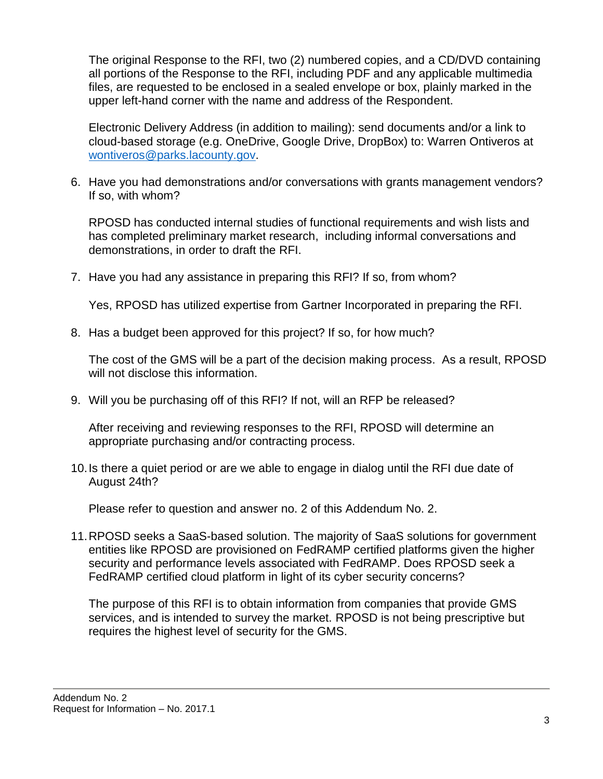The original Response to the RFI, two (2) numbered copies, and a CD/DVD containing all portions of the Response to the RFI, including PDF and any applicable multimedia files, are requested to be enclosed in a sealed envelope or box, plainly marked in the upper left-hand corner with the name and address of the Respondent.

Electronic Delivery Address (in addition to mailing): send documents and/or a link to cloud-based storage (e.g. OneDrive, Google Drive, DropBox) to: Warren Ontiveros at [wontiveros@parks.lacounty.gov.](mailto:wontiveros@parks.lacounty.gov)

6. Have you had demonstrations and/or conversations with grants management vendors? If so, with whom?

RPOSD has conducted internal studies of functional requirements and wish lists and has completed preliminary market research, including informal conversations and demonstrations, in order to draft the RFI.

7. Have you had any assistance in preparing this RFI? If so, from whom?

Yes, RPOSD has utilized expertise from Gartner Incorporated in preparing the RFI.

8. Has a budget been approved for this project? If so, for how much?

The cost of the GMS will be a part of the decision making process. As a result, RPOSD will not disclose this information.

9. Will you be purchasing off of this RFI? If not, will an RFP be released?

After receiving and reviewing responses to the RFI, RPOSD will determine an appropriate purchasing and/or contracting process.

10.Is there a quiet period or are we able to engage in dialog until the RFI due date of August 24th?

Please refer to question and answer no. 2 of this Addendum No. 2.

11.RPOSD seeks a SaaS-based solution. The majority of SaaS solutions for government entities like RPOSD are provisioned on FedRAMP certified platforms given the higher security and performance levels associated with FedRAMP. Does RPOSD seek a FedRAMP certified cloud platform in light of its cyber security concerns?

The purpose of this RFI is to obtain information from companies that provide GMS services, and is intended to survey the market. RPOSD is not being prescriptive but requires the highest level of security for the GMS.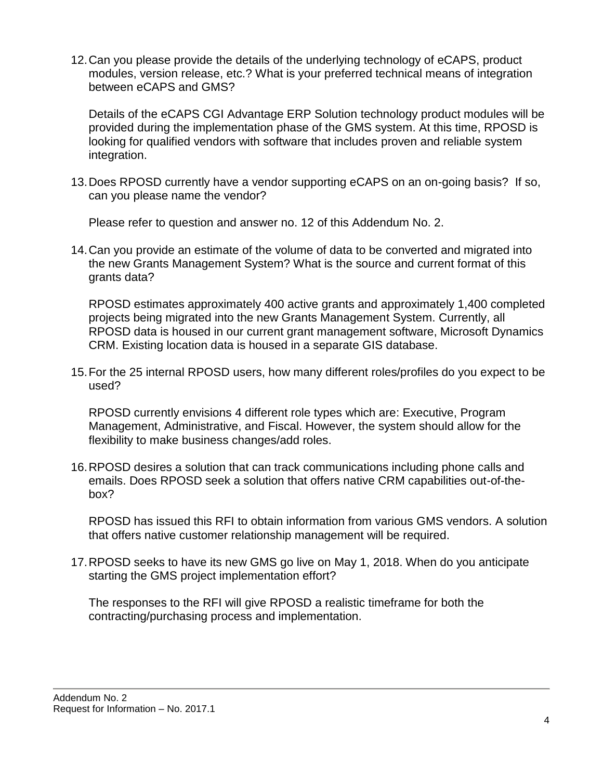12.Can you please provide the details of the underlying technology of eCAPS, product modules, version release, etc.? What is your preferred technical means of integration between eCAPS and GMS?

Details of the eCAPS CGI Advantage ERP Solution technology product modules will be provided during the implementation phase of the GMS system. At this time, RPOSD is looking for qualified vendors with software that includes proven and reliable system integration.

13.Does RPOSD currently have a vendor supporting eCAPS on an on-going basis? If so, can you please name the vendor?

Please refer to question and answer no. 12 of this Addendum No. 2.

14.Can you provide an estimate of the volume of data to be converted and migrated into the new Grants Management System? What is the source and current format of this grants data?

RPOSD estimates approximately 400 active grants and approximately 1,400 completed projects being migrated into the new Grants Management System. Currently, all RPOSD data is housed in our current grant management software, Microsoft Dynamics CRM. Existing location data is housed in a separate GIS database.

15.For the 25 internal RPOSD users, how many different roles/profiles do you expect to be used?

RPOSD currently envisions 4 different role types which are: Executive, Program Management, Administrative, and Fiscal. However, the system should allow for the flexibility to make business changes/add roles.

16.RPOSD desires a solution that can track communications including phone calls and emails. Does RPOSD seek a solution that offers native CRM capabilities out-of-thebox?

RPOSD has issued this RFI to obtain information from various GMS vendors. A solution that offers native customer relationship management will be required.

17.RPOSD seeks to have its new GMS go live on May 1, 2018. When do you anticipate starting the GMS project implementation effort?

The responses to the RFI will give RPOSD a realistic timeframe for both the contracting/purchasing process and implementation.